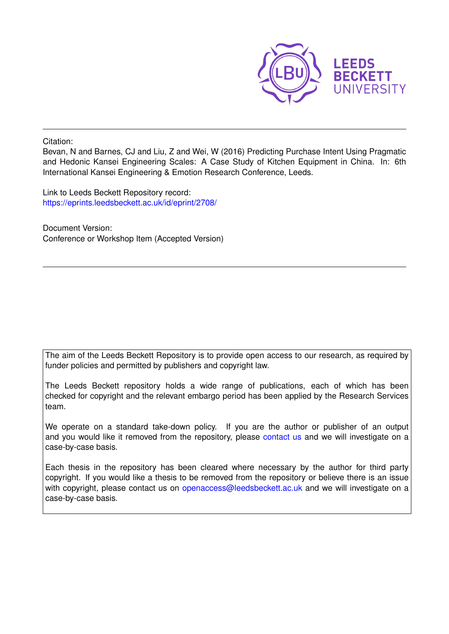

Citation:

Bevan, N and Barnes, CJ and Liu, Z and Wei, W (2016) Predicting Purchase Intent Using Pragmatic and Hedonic Kansei Engineering Scales: A Case Study of Kitchen Equipment in China. In: 6th International Kansei Engineering & Emotion Research Conference, Leeds.

Link to Leeds Beckett Repository record: <https://eprints.leedsbeckett.ac.uk/id/eprint/2708/>

Document Version: Conference or Workshop Item (Accepted Version)

The aim of the Leeds Beckett Repository is to provide open access to our research, as required by funder policies and permitted by publishers and copyright law.

The Leeds Beckett repository holds a wide range of publications, each of which has been checked for copyright and the relevant embargo period has been applied by the Research Services team.

We operate on a standard take-down policy. If you are the author or publisher of an output and you would like it removed from the repository, please [contact us](mailto:openaccess@leedsbeckett.ac.uk) and we will investigate on a case-by-case basis.

Each thesis in the repository has been cleared where necessary by the author for third party copyright. If you would like a thesis to be removed from the repository or believe there is an issue with copyright, please contact us on [openaccess@leedsbeckett.ac.uk](mailto:openaccess@leedsbeckett.ac.uk) and we will investigate on a case-by-case basis.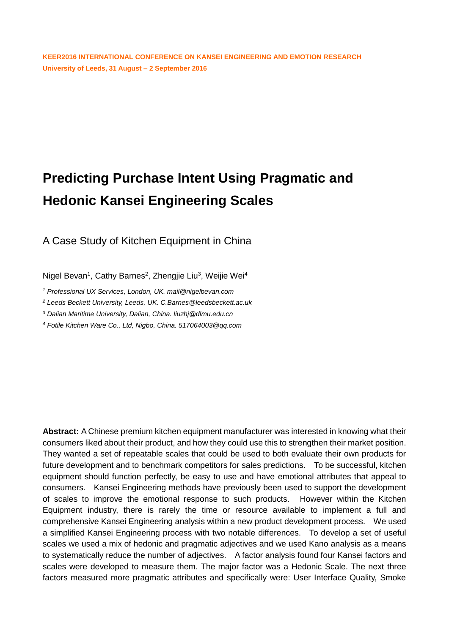# **Predicting Purchase Intent Using Pragmatic and Hedonic Kansei Engineering Scales**

A Case Study of Kitchen Equipment in China

Nigel Bevan<sup>1</sup>, Cathy Barnes<sup>2</sup>, Zhengjie Liu<sup>3</sup>, Weijie Wei<sup>4</sup>

*<sup>1</sup> Professional UX Services, London, UK. mail@nigelbevan.com*

*<sup>2</sup> Leeds Beckett University, Leeds, UK. C.Barnes@leedsbeckett.ac.uk*

*<sup>3</sup> Dalian Maritime University, Dalian, China. liuzhj@dlmu.edu.cn*

*<sup>4</sup> Fotile Kitchen Ware Co., Ltd, Nigbo, China. 517064003@qq.com*

**Abstract:** A Chinese premium kitchen equipment manufacturer was interested in knowing what their consumers liked about their product, and how they could use this to strengthen their market position. They wanted a set of repeatable scales that could be used to both evaluate their own products for future development and to benchmark competitors for sales predictions. To be successful, kitchen equipment should function perfectly, be easy to use and have emotional attributes that appeal to consumers. Kansei Engineering methods have previously been used to support the development of scales to improve the emotional response to such products. However within the Kitchen Equipment industry, there is rarely the time or resource available to implement a full and comprehensive Kansei Engineering analysis within a new product development process. We used a simplified Kansei Engineering process with two notable differences. To develop a set of useful scales we used a mix of hedonic and pragmatic adjectives and we used Kano analysis as a means to systematically reduce the number of adjectives. A factor analysis found four Kansei factors and scales were developed to measure them. The major factor was a Hedonic Scale. The next three factors measured more pragmatic attributes and specifically were: User Interface Quality, Smoke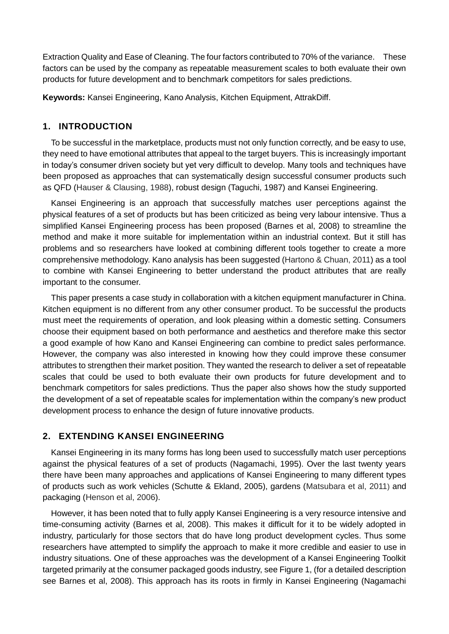Extraction Quality and Ease of Cleaning. The four factors contributed to 70% of the variance. These factors can be used by the company as repeatable measurement scales to both evaluate their own products for future development and to benchmark competitors for sales predictions.

**Keywords:** Kansei Engineering, Kano Analysis, Kitchen Equipment, AttrakDiff.

## <span id="page-2-0"></span>**1. INTRODUCTION**

To be successful in the marketplace, products must not only function correctly, and be easy to use, they need to have emotional attributes that appeal to the target buyers. This is increasingly important in today's consumer driven society but yet very difficult to develop. Many tools and techniques have been proposed as approaches that can systematically design successful consumer products such as QFD (Hauser & Clausing, 1988), robust design (Taguchi, 1987) and Kansei Engineering.

Kansei Engineering is an approach that successfully matches user perceptions against the physical features of a set of products but has been criticized as being very labour intensive. Thus a simplified Kansei Engineering process has been proposed (Barnes et al, 2008) to streamline the method and make it more suitable for implementation within an industrial context. But it still has problems and so researchers have looked at combining different tools together to create a more comprehensive methodology. Kano analysis has been suggested (Hartono & Chuan, 2011) as a tool to combine with Kansei Engineering to better understand the product attributes that are really important to the consumer.

This paper presents a case study in collaboration with a kitchen equipment manufacturer in China. Kitchen equipment is no different from any other consumer product. To be successful the products must meet the requirements of operation, and look pleasing within a domestic setting. Consumers choose their equipment based on both performance and aesthetics and therefore make this sector a good example of how Kano and Kansei Engineering can combine to predict sales performance. However, the company was also interested in knowing how they could improve these consumer attributes to strengthen their market position. They wanted the research to deliver a set of repeatable scales that could be used to both evaluate their own products for future development and to benchmark competitors for sales predictions. Thus the paper also shows how the study supported the development of a set of repeatable scales for implementation within the company's new product development process to enhance the design of future innovative products.

# **2. EXTENDING KANSEI ENGINEERING**

Kansei Engineering in its many forms has long been used to successfully match user perceptions against the physical features of a set of products (Nagamachi, 1995). Over the last twenty years there have been many approaches and applications of Kansei Engineering to many different types of products such as work vehicles (Schutte & Ekland, 2005), gardens (Matsubara et al, 2011) and packaging (Henson et al, 2006).

However, it has been noted that to fully apply Kansei Engineering is a very resource intensive and time-consuming activity (Barnes et al, 2008). This makes it difficult for it to be widely adopted in industry, particularly for those sectors that do have long product development cycles. Thus some researchers have attempted to simplify the approach to make it more credible and easier to use in industry situations. One of these approaches was the development of a Kansei Engineering Toolkit targeted primarily at the consumer packaged goods industry, see Figure 1, (for a detailed description see Barnes et al, 2008). This approach has its roots in firmly in Kansei Engineering (Nagamachi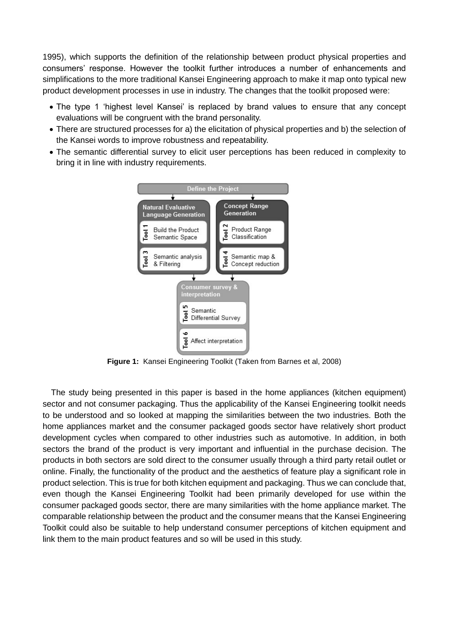1995), which supports the definition of the relationship between product physical properties and consumers' response. However the toolkit further introduces a number of enhancements and simplifications to the more traditional Kansei Engineering approach to make it map onto typical new product development processes in use in industry. The changes that the toolkit proposed were:

- The type 1 'highest level Kansei' is replaced by brand values to ensure that any concept evaluations will be congruent with the brand personality.
- There are structured processes for a) the elicitation of physical properties and b) the selection of the Kansei words to improve robustness and repeatability.
- The semantic differential survey to elicit user perceptions has been reduced in complexity to bring it in line with industry requirements.



**Figure 1:** Kansei Engineering Toolkit (Taken from Barnes et al, 2008)

The study being presented in this paper is based in the home appliances (kitchen equipment) sector and not consumer packaging. Thus the applicability of the Kansei Engineering toolkit needs to be understood and so looked at mapping the similarities between the two industries. Both the home appliances market and the consumer packaged goods sector have relatively short product development cycles when compared to other industries such as automotive. In addition, in both sectors the brand of the product is very important and influential in the purchase decision. The products in both sectors are sold direct to the consumer usually through a third party retail outlet or online. Finally, the functionality of the product and the aesthetics of feature play a significant role in product selection. This is true for both kitchen equipment and packaging. Thus we can conclude that, even though the Kansei Engineering Toolkit had been primarily developed for use within the consumer packaged goods sector, there are many similarities with the home appliance market. The comparable relationship between the product and the consumer means that the Kansei Engineering Toolkit could also be suitable to help understand consumer perceptions of kitchen equipment and link them to the main product features and so will be used in this study.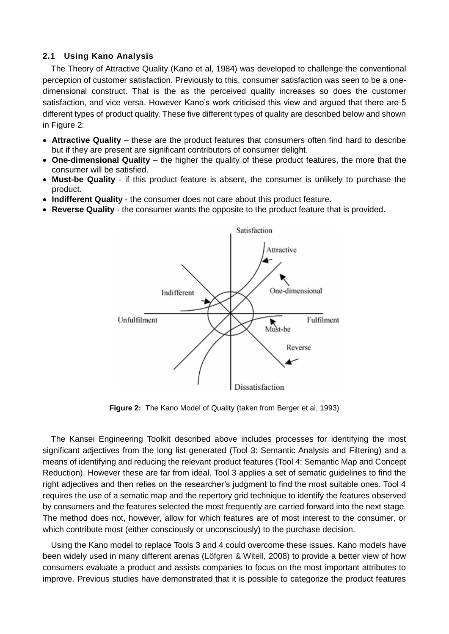#### **2.1 Using Kano Analysis**

The Theory of Attractive Quality (Kano et al, 1984) was developed to challenge the conventional perception of customer satisfaction. Previously to this, consumer satisfaction was seen to be a onedimensional construct. That is the as the perceived quality increases so does the customer satisfaction, and vice versa. However Kano's work criticised this view and argued that there are 5 different types of product quality. These five different types of quality are described below and shown in Figure 2:

- **Attractive Quality** these are the product features that consumers often find hard to describe but if they are present are significant contributors of consumer delight.
- **One-dimensional Quality** the higher the quality of these product features, the more that the consumer will be satisfied.
- **Must-be Quality** if this product feature is absent, the consumer is unlikely to purchase the product.
- **Indifferent Quality** the consumer does not care about this product feature.
- **Reverse Quality** the consumer wants the opposite to the product feature that is provided.



**Figure 2:** The Kano Model of Quality (taken from Berger et al, 1993)

The Kansei Engineering Toolkit described above includes processes for identifying the most significant adjectives from the long list generated (Tool 3: Semantic Analysis and Filtering) and a means of identifying and reducing the relevant product features (Tool 4: Semantic Map and Concept Reduction). However these are far from ideal. Tool 3 applies a set of sematic guidelines to find the right adjectives and then relies on the researcher's judgment to find the most suitable ones. Tool 4 requires the use of a sematic map and the repertory grid technique to identify the features observed by consumers and the features selected the most frequently are carried forward into the next stage. The method does not, however, allow for which features are of most interest to the consumer, or which contribute most (either consciously or unconsciously) to the purchase decision.

Using the Kano model to replace Tools 3 and 4 could overcome these issues. Kano models have been widely used in many different arenas (Löfgren & Witell, 2008) to provide a better view of how consumers evaluate a product and assists companies to focus on the most important attributes to improve. Previous studies have demonstrated that it is possible to categorize the product features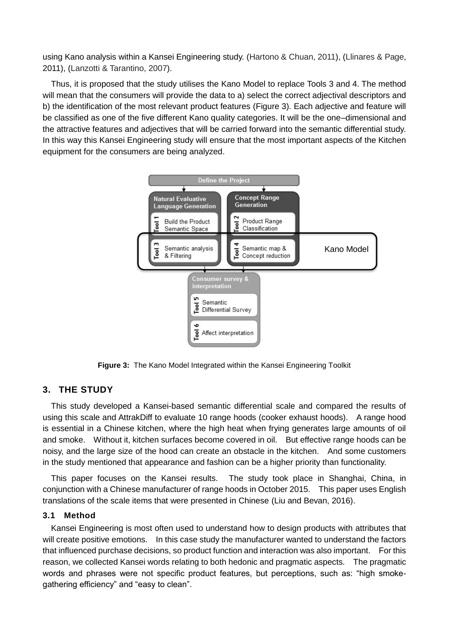using Kano analysis within a Kansei Engineering study. (Hartono & Chuan, 2011), (Llinares & Page, 2011), (Lanzotti & Tarantino, 2007).

Thus, it is proposed that the study utilises the Kano Model to replace Tools 3 and 4. The method will mean that the consumers will provide the data to a) select the correct adjectival descriptors and b) the identification of the most relevant product features (Figure 3). Each adjective and feature will be classified as one of the five different Kano quality categories. It will be the one–dimensional and the attractive features and adjectives that will be carried forward into the semantic differential study. In this way this Kansei Engineering study will ensure that the most important aspects of the Kitchen equipment for the consumers are being analyzed.



**Figure 3:** The Kano Model Integrated within the Kansei Engineering Toolkit

#### **3. THE STUDY**

This study developed a Kansei-based semantic differential scale and compared the results of using this scale and AttrakDiff to evaluate 10 range hoods (cooker exhaust hoods). A range hood is essential in a Chinese kitchen, where the high heat when frying generates large amounts of oil and smoke. Without it, kitchen surfaces become covered in oil. But effective range hoods can be noisy, and the large size of the hood can create an obstacle in the kitchen. And some customers in the study mentioned that appearance and fashion can be a higher priority than functionality.

This paper focuses on the Kansei results. The study took place in Shanghai, China, in conjunction with a Chinese manufacturer of range hoods in October 2015. This paper uses English translations of the scale items that were presented in Chinese (Liu and Bevan, 2016).

#### **3.1 Method**

Kansei Engineering is most often used to understand how to design products with attributes that will create positive emotions. In this case study the manufacturer wanted to understand the factors that influenced purchase decisions, so product function and interaction was also important. For this reason, we collected Kansei words relating to both hedonic and pragmatic aspects. The pragmatic words and phrases were not specific product features, but perceptions, such as: "high smokegathering efficiency" and "easy to clean".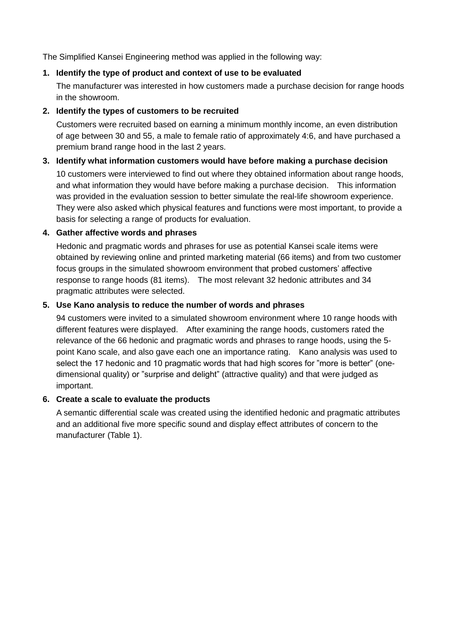The Simplified Kansei Engineering method was applied in the following way:

#### **1. Identify the type of product and context of use to be evaluated**

The manufacturer was interested in how customers made a purchase decision for range hoods in the showroom.

#### **2. Identify the types of customers to be recruited**

Customers were recruited based on earning a minimum monthly income, an even distribution of age between 30 and 55, a male to female ratio of approximately 4:6, and have purchased a premium brand range hood in the last 2 years.

# **3. Identify what information customers would have before making a purchase decision**

10 customers were interviewed to find out where they obtained information about range hoods, and what information they would have before making a purchase decision. This information was provided in the evaluation session to better simulate the real-life showroom experience. They were also asked which physical features and functions were most important, to provide a basis for selecting a range of products for evaluation.

#### **4. Gather affective words and phrases**

Hedonic and pragmatic words and phrases for use as potential Kansei scale items were obtained by reviewing online and printed marketing material (66 items) and from two customer focus groups in the simulated showroom environment that probed customers' affective response to range hoods (81 items). The most relevant 32 hedonic attributes and 34 pragmatic attributes were selected.

#### **5. Use Kano analysis to reduce the number of words and phrases**

94 customers were invited to a simulated showroom environment where 10 range hoods with different features were displayed. After examining the range hoods, customers rated the relevance of the 66 hedonic and pragmatic words and phrases to range hoods, using the 5 point Kano scale, and also gave each one an importance rating. Kano analysis was used to select the 17 hedonic and 10 pragmatic words that had high scores for "more is better" (onedimensional quality) or "surprise and delight" (attractive quality) and that were judged as important.

#### **6. Create a scale to evaluate the products**

A semantic differential scale was created using the identified hedonic and pragmatic attributes and an additional five more specific sound and display effect attributes of concern to the manufacturer (Table [1\)](#page-2-0).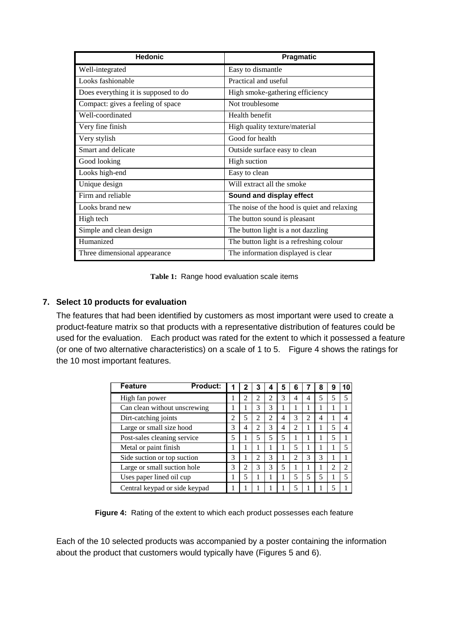| <b>Hedonic</b>                       | Pragmatic                                   |
|--------------------------------------|---------------------------------------------|
| Well-integrated                      | Easy to dismantle                           |
| Looks fashionable                    | Practical and useful                        |
| Does everything it is supposed to do | High smoke-gathering efficiency             |
| Compact: gives a feeling of space    | Not troublesome                             |
| Well-coordinated                     | Health benefit                              |
| Very fine finish                     | High quality texture/material               |
| Very stylish                         | Good for health                             |
| Smart and delicate                   | Outside surface easy to clean               |
| Good looking                         | High suction                                |
| Looks high-end                       | Easy to clean                               |
| Unique design                        | Will extract all the smoke                  |
| Firm and reliable                    | Sound and display effect                    |
| Looks brand new                      | The noise of the hood is quiet and relaxing |
| High tech                            | The button sound is pleasant                |
| Simple and clean design              | The button light is a not dazzling          |
| Humanized                            | The button light is a refreshing colour     |
| Three dimensional appearance         | The information displayed is clear          |

**Table 1:** Range hood evaluation scale items

#### **7. Select 10 products for evaluation**

The features that had been identified by customers as most important were used to create a product-feature matrix so that products with a representative distribution of features could be used for the evaluation. Each product was rated for the extent to which it possessed a feature (or one of two alternative characteristics) on a scale of 1 to 5. Figure 4 shows the ratings for the 10 most important features.

| <b>Feature</b><br><b>Product:</b> |   | 2              | 3              |   | 5 | 6              |                             | 8 | 9 |                |
|-----------------------------------|---|----------------|----------------|---|---|----------------|-----------------------------|---|---|----------------|
| High fan power                    |   | 2              | 2              | 2 | 3 |                |                             |   |   | 5              |
| Can clean without unscrewing      |   |                | 3              | 3 |   |                |                             |   |   |                |
| Dirt-catching joints              | 2 | 5              | $\overline{c}$ | 2 | 4 | 3              | $\mathcal{D}_{\mathcal{L}}$ | 4 |   | 4              |
| Large or small size hood          | 3 | 4              | $\mathfrak{D}$ | 3 | 4 | 2              |                             |   |   | 4              |
| Post-sales cleaning service       | 5 |                | 5              | 5 | 5 |                |                             |   |   |                |
| Metal or paint finish             |   |                |                |   |   |                |                             |   |   | 5              |
| Side suction or top suction       | 3 |                | 2              | 3 |   | $\overline{c}$ | 3                           | 3 |   |                |
| Large or small suction hole       | 3 | $\overline{c}$ | 3              | 3 | 5 |                |                             |   | 2 | $\overline{c}$ |
| Uses paper lined oil cup          |   | 5              |                |   |   |                |                             | 5 |   | 5              |
| Central keypad or side keypad     |   |                |                |   |   |                |                             |   |   |                |

**Figure 4:** Rating of the extent to which each product possesses each feature

Each of the 10 selected products was accompanied by a poster containing the information about the product that customers would typically have (Figures 5 and 6).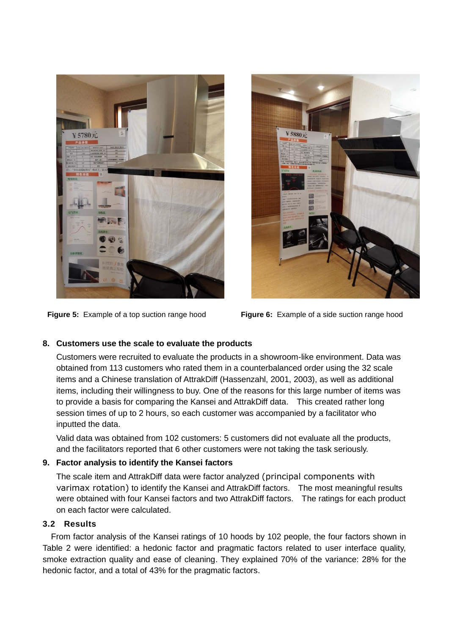



**Figure 5:** Example of a top suction range hood **Figure 6:** Example of a side suction range hood

#### **8. Customers use the scale to evaluate the products**

Customers were recruited to evaluate the products in a showroom-like environment. Data was obtained from 113 customers who rated them in a counterbalanced order using the 32 scale items and a Chinese translation of AttrakDiff (Hassenzahl, 2001, 2003), as well as additional items, including their willingness to buy. One of the reasons for this large number of items was to provide a basis for comparing the Kansei and AttrakDiff data. This created rather long session times of up to 2 hours, so each customer was accompanied by a facilitator who inputted the data.

Valid data was obtained from 102 customers: 5 customers did not evaluate all the products, and the facilitators reported that 6 other customers were not taking the task seriously.

#### **9. Factor analysis to identify the Kansei factors**

The scale item and AttrakDiff data were factor analyzed (principal components with varimax rotation) to identify the Kansei and AttrakDiff factors. The most meaningful results were obtained with four Kansei factors and two AttrakDiff factors. The ratings for each product on each factor were calculated.

# **3.2 Results**

From factor analysis of the Kansei ratings of 10 hoods by 102 people, the four factors shown in Table 2 were identified: a hedonic factor and pragmatic factors related to user interface quality, smoke extraction quality and ease of cleaning. They explained 70% of the variance: 28% for the hedonic factor, and a total of 43% for the pragmatic factors.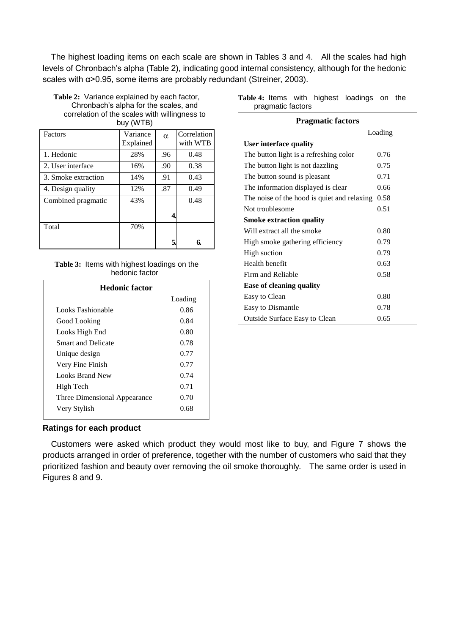The highest loading items on each scale are shown in Tables 3 and 4. All the scales had high levels of Chronbach's alpha (Table 2), indicating good internal consistency, although for the hedonic scales with α>0.95, some items are probably redundant (Streiner, 2003).

| Table 2: Variance explained by each factor,   |                                           |          |             |  |
|-----------------------------------------------|-------------------------------------------|----------|-------------|--|
| Chronbach's alpha for the scales, and         |                                           |          |             |  |
| correlation of the scales with willingness to | buy (WTB)                                 |          |             |  |
| Factors                                       | Variance<br>$\mathbf{r}$ and $\mathbf{r}$ | $\alpha$ | Correlation |  |

| Tactors             | V alialice<br>Explained | α   | COLICIALIOII<br>with WTB |
|---------------------|-------------------------|-----|--------------------------|
| 1. Hedonic          | 28%                     | .96 | 0.48                     |
| 2. User interface   | 16%                     | .90 | 0.38                     |
| 3. Smoke extraction | 14%                     | .91 | 0.43                     |
| 4. Design quality   | 12%                     | .87 | 0.49                     |
| Combined pragmatic  | 43%                     |     | 0.48                     |
|                     |                         |     |                          |
| Total               | 70%                     |     |                          |
|                     |                         |     | 6.                       |

#### **Table 3:** Items with highest loadings on the hedonic factor

| <b>Hedonic factor</b>        |         |
|------------------------------|---------|
|                              | Loading |
| Looks Fashionable            | 0.86    |
| Good Looking                 | 0.84    |
| Looks High End               | 0.80    |
| <b>Smart and Delicate</b>    | 0.78    |
| Unique design                | 0.77    |
| Very Fine Finish             | 0.77    |
| Looks Brand New              | 0.74    |
| High Tech                    | 0.71    |
| Three Dimensional Appearance | 0.70    |
| Very Stylish                 | 0.68    |

|                   |  | Table 4: Items with highest loadings on the |  |
|-------------------|--|---------------------------------------------|--|
| pragmatic factors |  |                                             |  |

| <b>Pragmatic factors</b>                    |      |  |  |
|---------------------------------------------|------|--|--|
| Loading                                     |      |  |  |
| User interface quality                      |      |  |  |
| The button light is a refreshing color      | 0.76 |  |  |
| The button light is not dazzling            | 0.75 |  |  |
| The button sound is pleasant                | 0.71 |  |  |
| The information displayed is clear          | 0.66 |  |  |
| The noise of the hood is quiet and relaxing | 0.58 |  |  |
| Not troublesome                             | 0.51 |  |  |
| <b>Smoke extraction quality</b>             |      |  |  |
| Will extract all the smoke                  | 0.80 |  |  |
| High smoke gathering efficiency             | 0.79 |  |  |
| High suction                                | 0.79 |  |  |
| Health benefit                              | 0.63 |  |  |
| Firm and Reliable                           | 0.58 |  |  |
| <b>Ease of cleaning quality</b>             |      |  |  |
| Easy to Clean                               | 0.80 |  |  |
| Easy to Dismantle                           | 0.78 |  |  |
| <b>Outside Surface Easy to Clean</b>        | 0.65 |  |  |

#### **Ratings for each product**

Customers were asked which product they would most like to buy, and Figure 7 shows the products arranged in order of preference, together with the number of customers who said that they prioritized fashion and beauty over removing the oil smoke thoroughly. The same order is used in Figures 8 and 9.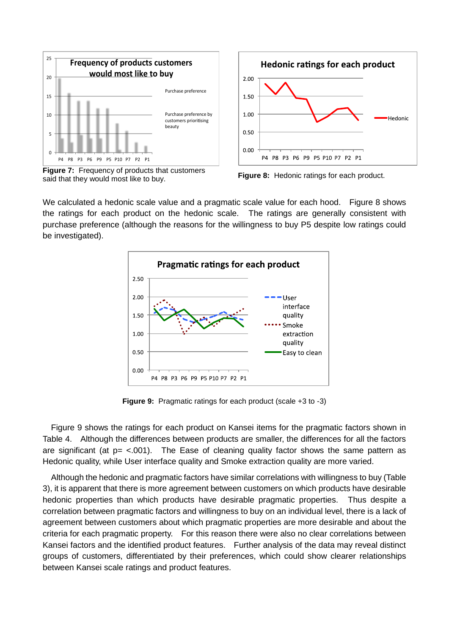

**Figure 7:** Frequency of products that customers said that they would most like to buy. **Figure 8:** Hedonic ratings for each product.



We calculated a hedonic scale value and a pragmatic scale value for each hood. Figure 8 shows the ratings for each product on the hedonic scale. The ratings are generally consistent with purchase preference (although the reasons for the willingness to buy P5 despite low ratings could be investigated).



**Figure 9:** Pragmatic ratings for each product (scale +3 to -3)

Figure 9 shows the ratings for each product on Kansei items for the pragmatic factors shown in Table 4. Although the differences between products are smaller, the differences for all the factors are significant (at  $p = <.001$ ). The Ease of cleaning quality factor shows the same pattern as Hedonic quality, while User interface quality and Smoke extraction quality are more varied.

Although the hedonic and pragmatic factors have similar correlations with willingness to buy (Table 3), it is apparent that there is more agreement between customers on which products have desirable hedonic properties than which products have desirable pragmatic properties. Thus despite a correlation between pragmatic factors and willingness to buy on an individual level, there is a lack of agreement between customers about which pragmatic properties are more desirable and about the criteria for each pragmatic property. For this reason there were also no clear correlations between Kansei factors and the identified product features. Further analysis of the data may reveal distinct groups of customers, differentiated by their preferences, which could show clearer relationships between Kansei scale ratings and product features.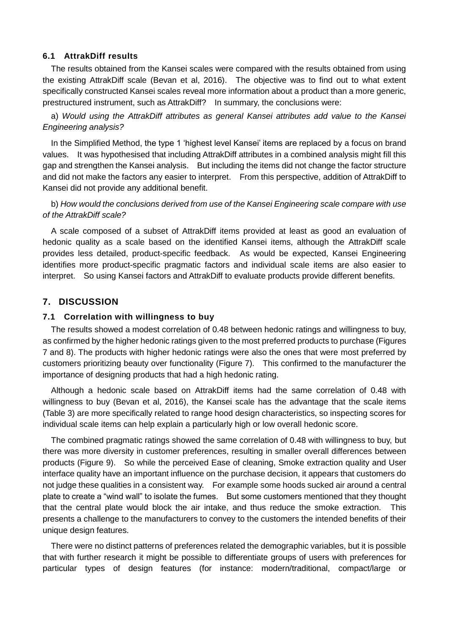#### **6.1 AttrakDiff results**

The results obtained from the Kansei scales were compared with the results obtained from using the existing AttrakDiff scale (Bevan et al, 2016). The objective was to find out to what extent specifically constructed Kansei scales reveal more information about a product than a more generic, prestructured instrument, such as AttrakDiff? In summary, the conclusions were:

a) *Would using the AttrakDiff attributes as general Kansei attributes add value to the Kansei Engineering analysis?*

In the Simplified Method, the type 1 'highest level Kansei' items are replaced by a focus on brand values. It was hypothesised that including AttrakDiff attributes in a combined analysis might fill this gap and strengthen the Kansei analysis. But including the items did not change the factor structure and did not make the factors any easier to interpret. From this perspective, addition of AttrakDiff to Kansei did not provide any additional benefit.

b) *How would the conclusions derived from use of the Kansei Engineering scale compare with use of the AttrakDiff scale?* 

A scale composed of a subset of AttrakDiff items provided at least as good an evaluation of hedonic quality as a scale based on the identified Kansei items, although the AttrakDiff scale provides less detailed, product-specific feedback. As would be expected, Kansei Engineering identifies more product-specific pragmatic factors and individual scale items are also easier to interpret. So using Kansei factors and AttrakDiff to evaluate products provide different benefits.

## **7. DISCUSSION**

#### **7.1 Correlation with willingness to buy**

The results showed a modest correlation of 0.48 between hedonic ratings and willingness to buy, as confirmed by the higher hedonic ratings given to the most preferred products to purchase (Figures 7 and 8). The products with higher hedonic ratings were also the ones that were most preferred by customers prioritizing beauty over functionality (Figure 7). This confirmed to the manufacturer the importance of designing products that had a high hedonic rating.

Although a hedonic scale based on AttrakDiff items had the same correlation of 0.48 with willingness to buy (Bevan et al, 2016), the Kansei scale has the advantage that the scale items (Table 3) are more specifically related to range hood design characteristics, so inspecting scores for individual scale items can help explain a particularly high or low overall hedonic score.

The combined pragmatic ratings showed the same correlation of 0.48 with willingness to buy, but there was more diversity in customer preferences, resulting in smaller overall differences between products (Figure 9). So while the perceived Ease of cleaning, Smoke extraction quality and User interface quality have an important influence on the purchase decision, it appears that customers do not judge these qualities in a consistent way. For example some hoods sucked air around a central plate to create a "wind wall" to isolate the fumes. But some customers mentioned that they thought that the central plate would block the air intake, and thus reduce the smoke extraction. This presents a challenge to the manufacturers to convey to the customers the intended benefits of their unique design features.

There were no distinct patterns of preferences related the demographic variables, but it is possible that with further research it might be possible to differentiate groups of users with preferences for particular types of design features (for instance: modern/traditional, compact/large or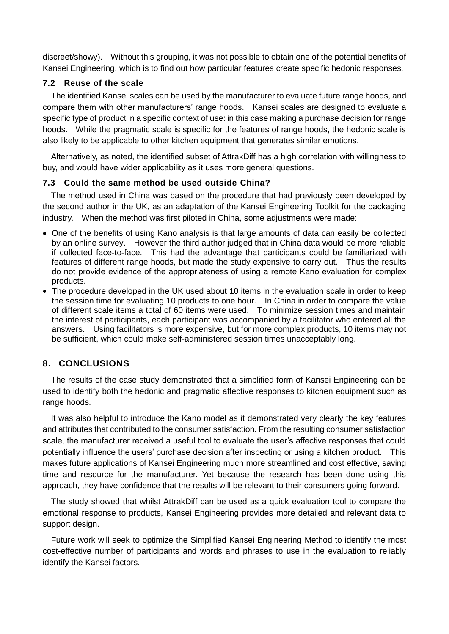discreet/showy). Without this grouping, it was not possible to obtain one of the potential benefits of Kansei Engineering, which is to find out how particular features create specific hedonic responses.

#### **7.2 Reuse of the scale**

The identified Kansei scales can be used by the manufacturer to evaluate future range hoods, and compare them with other manufacturers' range hoods. Kansei scales are designed to evaluate a specific type of product in a specific context of use: in this case making a purchase decision for range hoods. While the pragmatic scale is specific for the features of range hoods, the hedonic scale is also likely to be applicable to other kitchen equipment that generates similar emotions.

Alternatively, as noted, the identified subset of AttrakDiff has a high correlation with willingness to buy, and would have wider applicability as it uses more general questions.

#### **7.3 Could the same method be used outside China?**

The method used in China was based on the procedure that had previously been developed by the second author in the UK, as an adaptation of the Kansei Engineering Toolkit for the packaging industry. When the method was first piloted in China, some adjustments were made:

- One of the benefits of using Kano analysis is that large amounts of data can easily be collected by an online survey. However the third author judged that in China data would be more reliable if collected face-to-face. This had the advantage that participants could be familiarized with features of different range hoods, but made the study expensive to carry out. Thus the results do not provide evidence of the appropriateness of using a remote Kano evaluation for complex products.
- The procedure developed in the UK used about 10 items in the evaluation scale in order to keep the session time for evaluating 10 products to one hour. In China in order to compare the value of different scale items a total of 60 items were used. To minimize session times and maintain the interest of participants, each participant was accompanied by a facilitator who entered all the answers. Using facilitators is more expensive, but for more complex products, 10 items may not be sufficient, which could make self-administered session times unacceptably long.

# **8. CONCLUSIONS**

The results of the case study demonstrated that a simplified form of Kansei Engineering can be used to identify both the hedonic and pragmatic affective responses to kitchen equipment such as range hoods.

It was also helpful to introduce the Kano model as it demonstrated very clearly the key features and attributes that contributed to the consumer satisfaction. From the resulting consumer satisfaction scale, the manufacturer received a useful tool to evaluate the user's affective responses that could potentially influence the users' purchase decision after inspecting or using a kitchen product. This makes future applications of Kansei Engineering much more streamlined and cost effective, saving time and resource for the manufacturer. Yet because the research has been done using this approach, they have confidence that the results will be relevant to their consumers going forward.

The study showed that whilst AttrakDiff can be used as a quick evaluation tool to compare the emotional response to products, Kansei Engineering provides more detailed and relevant data to support design.

Future work will seek to optimize the Simplified Kansei Engineering Method to identify the most cost-effective number of participants and words and phrases to use in the evaluation to reliably identify the Kansei factors.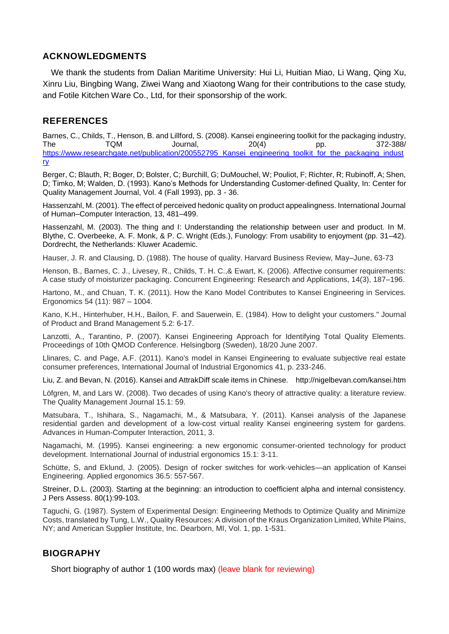# **ACKNOWLEDGMENTS**

We thank the students from Dalian Maritime University: Hui Li, Huitian Miao, Li Wang, Qing Xu, Xinru Liu, Bingbing Wang, Ziwei Wang and Xiaotong Wang for their contributions to the case study, and Fotile Kitchen Ware Co., Ltd, for their sponsorship of the work.

# **REFERENCES**

Barnes, C., Childs, T., Henson, B. and Lillford, S. (2008). Kansei engineering toolkit for the packaging industry, The TQM Journal, 20(4) pp. 372-388/ [https://www.researchgate.net/publication/200552795\\_Kansei\\_engineering\\_toolkit\\_for\\_the\\_packaging\\_indust](https://www.researchgate.net/publication/200552795_Kansei_engineering_toolkit_for_the_packaging_industry) [ry](https://www.researchgate.net/publication/200552795_Kansei_engineering_toolkit_for_the_packaging_industry)

Berger, C; Blauth, R; Boger, D; Bolster, C; Burchill, G; DuMouchel, W; Pouliot, F; Richter, R; Rubinoff, A; Shen, D; Timko, M; Walden, D. (1993). Kano's Methods for Understanding Customer-defined Quality, In: Center for Quality Management Journal, Vol. 4 (Fall 1993), pp. 3 - 36.

Hassenzahl, M. (2001). The effect of perceived hedonic quality on product appealingness. International Journal of Human–Computer Interaction, 13, 481–499.

Hassenzahl, M. (2003). The thing and I: Understanding the relationship between user and product. In M. Blythe, C. Overbeeke, A. F. Monk, & P. C. Wright (Eds.), Funology: From usability to enjoyment (pp. 31–42). Dordrecht, the Netherlands: Kluwer Academic.

Hauser, J. R. and Clausing, D. (1988). The house of quality. Harvard Business Review, May–June, 63-73

Henson, B., Barnes, C. J., Livesey, R., Childs, T. H. C.,& Ewart, K. (2006). Affective consumer requirements: A case study of moisturizer packaging. Concurrent Engineering: Research and Applications, 14(3), 187–196.

Hartono, M., and Chuan, T. K. (2011). How the Kano Model Contributes to Kansei Engineering in Services. Ergonomics 54 (11): 987 – 1004.

Kano, K.H., Hinterhuber, H.H., Bailon, F. and Sauerwein, E. (1984). How to delight your customers." Journal of Product and Brand Management 5.2: 6-17.

Lanzotti, A., Tarantino, P. (2007). Kansei Engineering Approach for Identifying Total Quality Elements. Proceedings of 10th QMOD Conference. Helsingborg (Sweden), 18/20 June 2007.

Llinares, C. and Page, A.F. (2011). Kano's model in Kansei Engineering to evaluate subjective real estate consumer preferences, International Journal of Industrial Ergonomics 41, p. 233-246.

Liu, Z. and Bevan, N. (2016). Kansei and AttrakDiff scale items in Chinese. http://nigelbevan.com/kansei.htm

Löfgren, M, and Lars W. (2008). Two decades of using Kano's theory of attractive quality: a literature review. The Quality Management Journal 15.1: 59.

Matsubara, T., Ishihara, S., Nagamachi, M., & Matsubara, Y. (2011). Kansei analysis of the Japanese residential garden and development of a low-cost virtual reality Kansei engineering system for gardens. Advances in Human-Computer Interaction, 2011, 3.

Nagamachi, M. (1995). Kansei engineering: a new ergonomic consumer-oriented technology for product development. International Journal of industrial ergonomics 15.1: 3-11.

Schütte, S, and Eklund, J. (2005). Design of rocker switches for work-vehicles—an application of Kansei Engineering. Applied ergonomics 36.5: 557-567.

Streiner, D.L. (2003). Starting at the beginning: an introduction to coefficient alpha and internal consistency. J Pers Assess. 80(1):99-103.

Taguchi, G. (1987). System of Experimental Design: Engineering Methods to Optimize Quality and Minimize Costs, translated by Tung, L.W., Quality Resources: A division of the Kraus Organization Limited, White Plains, NY; and American Supplier Institute, Inc. Dearborn, MI, Vol. 1, pp. 1-531.

# **BIOGRAPHY**

Short biography of author 1 (100 words max) (leave blank for reviewing)